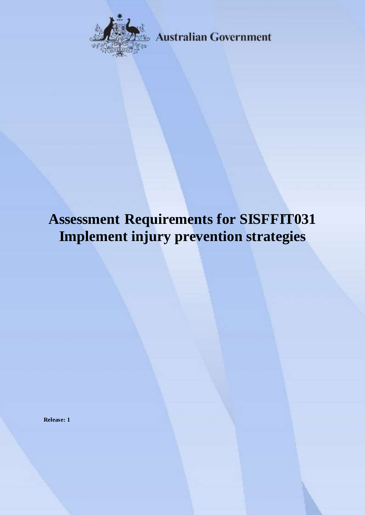

**Australian Government** 

# **Assessment Requirements for SISFFIT031 Implement injury prevention strategies**

**Release: 1**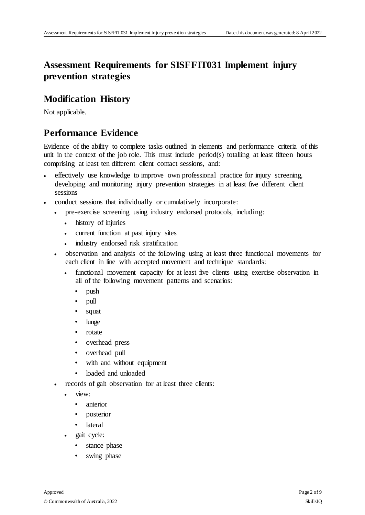## **Assessment Requirements for SISFFIT031 Implement injury prevention strategies**

#### **Modification History**

Not applicable.

## **Performance Evidence**

Evidence of the ability to complete tasks outlined in elements and performance criteria of this unit in the context of the job role. This must include period(s) totalling at least fifteen hours comprising at least ten different client contact sessions, and:

- effectively use knowledge to improve own professional practice for injury screening, developing and monitoring injury prevention strategies in at least five different client sessions
- conduct sessions that individually or cumulatively incorporate:
	- pre-exercise screening using industry endorsed protocols, including:
		- history of injuries
		- current function at past injury sites
		- industry endorsed risk stratification
	- observation and analysis of the following using at least three functional movements for each client in line with accepted movement and technique standards:
		- functional movement capacity for at least five clients using exercise observation in all of the following movement patterns and scenarios:
			- push
			- pull
			- squat
			- lunge
			- rotate
			- overhead press
			- overhead pull
			- with and without equipment
			- loaded and unloaded
	- records of gait observation for at least three clients:
		- view:
			- anterior
			- posterior
			- lateral
		- gait cycle:
			- stance phase
			- swing phase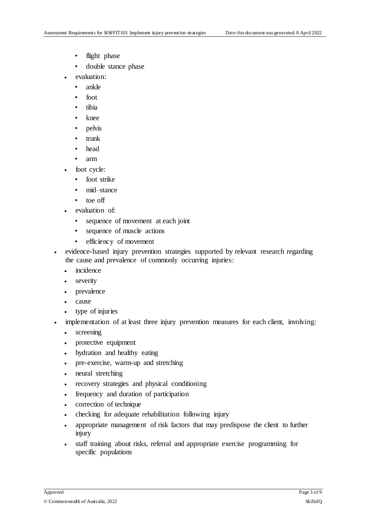- flight phase
- double stance phase
- evaluation:
	- ankle
	- foot
	- tibia
	- knee
	- pelvis
	- trunk
	- head
	- arm
- foot cycle:
	- foot strike
	- mid–stance
	- toe off
- evaluation of:
	- sequence of movement at each joint
	- sequence of muscle actions
	- efficiency of movement
- evidence-based injury prevention strategies supported by relevant research regarding the cause and prevalence of commonly occurring injuries:
	- incidence
	- severity
	- prevalence
	- cause
	- type of injuries
- implementation of at least three injury prevention measures for each client, involving:
	- screening
	- protective equipment
	- hydration and healthy eating
	- pre-exercise, warm-up and stretching
	- neural stretching
	- recovery strategies and physical conditioning
	- frequency and duration of participation
	- correction of technique
	- checking for adequate rehabilitation following injury
	- appropriate management of risk factors that may predispose the client to further injury
	- staff training about risks, referral and appropriate exercise programming for specific populations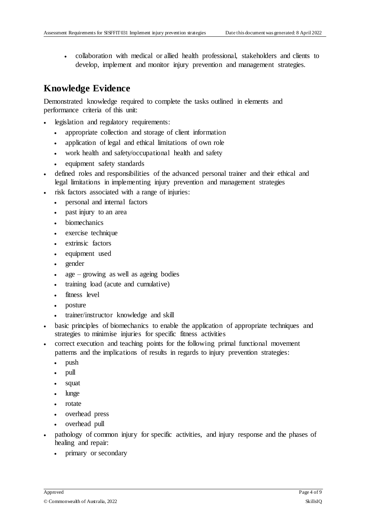collaboration with medical or allied health professional, stakeholders and clients to develop, implement and monitor injury prevention and management strategies.

### **Knowledge Evidence**

Demonstrated knowledge required to complete the tasks outlined in elements and performance criteria of this unit:

- legislation and regulatory requirements:
	- appropriate collection and storage of client information
	- application of legal and ethical limitations of own role
	- work health and safety/occupational health and safety
	- equipment safety standards
- defined roles and responsibilities of the advanced personal trainer and their ethical and legal limitations in implementing injury prevention and management strategies
	- risk factors associated with a range of injuries:
		- personal and internal factors
		- past injury to an area
		- biomechanics
		- exercise technique
		- extrinsic factors
		- equipment used
		- gender
		- age growing as well as ageing bodies
		- training load (acute and cumulative)
		- fitness level
		- posture
		- trainer/instructor knowledge and skill
- basic principles of biomechanics to enable the application of appropriate techniques and strategies to minimise injuries for specific fitness activities
- correct execution and teaching points for the following primal functional movement patterns and the implications of results in regards to injury prevention strategies:
	- push
	- pull
	- squat
	- lunge
	- rotate
	- overhead press
	- overhead pull
- pathology of common injury for specific activities, and injury response and the phases of healing and repair:
	- primary or secondary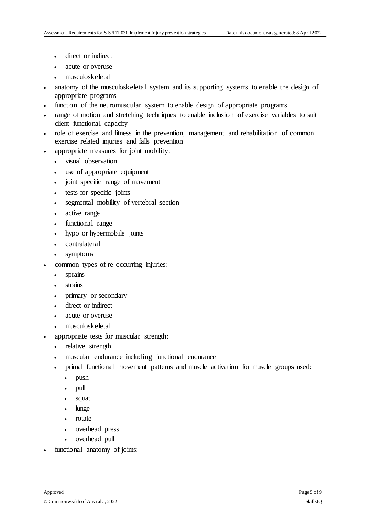- direct or indirect
- acute or overuse
- musculoskeletal
- anatomy of the musculoskeletal system and its supporting systems to enable the design of appropriate programs
- function of the neuromuscular system to enable design of appropriate programs
- range of motion and stretching techniques to enable inclusion of exercise variables to suit client functional capacity
- role of exercise and fitness in the prevention, management and rehabilitation of common exercise related injuries and falls prevention
- appropriate measures for joint mobility:
	- visual observation
	- use of appropriate equipment
	- joint specific range of movement
	- tests for specific joints
	- segmental mobility of vertebral section
	- active range
	- functional range
	- hypo or hypermobile joints
	- contralateral
	- symptoms
- common types of re-occurring injuries:
	- sprains
	- strains
	- primary or secondary
	- direct or indirect
	- acute or overuse
	- musculoskeletal
- appropriate tests for muscular strength:
	- relative strength
	- muscular endurance including functional endurance
	- primal functional movement patterns and muscle activation for muscle groups used:
		- push
		- pull
		- squat
		- lunge
		- rotate
		- overhead press
		- overhead pull
- functional anatomy of joints: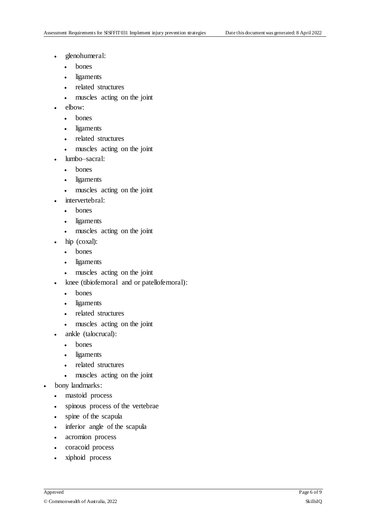- glenohumeral:
	- bones
	- ligaments
	- related structures
	- muscles acting on the joint
- elbow:
	- bones
	- ligaments
	- related structures
	- muscles acting on the joint
	- lumbo–sacral:
		- bones
		- ligaments
		- muscles acting on the joint
- intervertebral:
	- bones
	- ligaments
	- muscles acting on the joint
- hip (coxal):
	- bones
	- ligaments
	- muscles acting on the joint
- knee (tibiofemoral and or patellofemoral):
	- bones
	- ligaments
	- related structures
	- muscles acting on the joint
- ankle (talocrucal):
	- bones
	- ligaments
	- related structures
	- muscles acting on the joint
- bony landmarks:
	- mastoid process
	- spinous process of the vertebrae
	- spine of the scapula
	- inferior angle of the scapula
	- acromion process
	- coracoid process
	- xiphoid process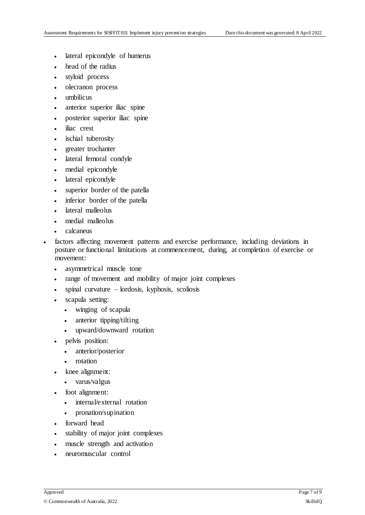- lateral epicondyle of humerus
- head of the radius
- styloid process
- olecranon process
- umbilicus
- anterior superior iliac spine
- posterior superior iliac spine
- iliac crest
- ischial tuberosity
- greater trochanter
- lateral femoral condyle
- medial epicondyle
- lateral epicondyle
- superior border of the patella
- inferior border of the patella
- lateral malleolus
- medial malleolus
- calcaneus
- factors affecting movement patterns and exercise performance, including deviations in posture or functional limitations at commencement, during, at completion of exercise or movement:
	- asymmetrical muscle tone
	- range of movement and mobility of major joint complexes
	- spinal curvature lordosis, kyphosis, scoliosis
	- scapula setting:
		- winging of scapula
		- anterior tipping/tilting
		- upward/downward rotation
	- pelvis position:
		- anterior/posterior
		- rotation
	- knee alignment:
		- varus/valgus
	- foot alignment:
		- internal/external rotation
		- pronation/supination
	- forward head
	- stability of major joint complexes
	- muscle strength and activation
	- neuromuscular control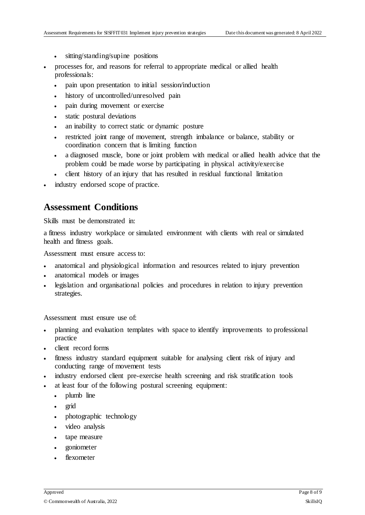- sitting/standing/supine positions
- processes for, and reasons for referral to appropriate medical or allied health professionals:
	- pain upon presentation to initial session/induction
	- history of uncontrolled/unresolved pain
	- pain during movement or exercise
	- static postural deviations
	- an inability to correct static or dynamic posture
	- restricted joint range of movement, strength imbalance or balance, stability or coordination concern that is limiting function
	- a diagnosed muscle, bone or joint problem with medical or allied health advice that the problem could be made worse by participating in physical activity/exercise
	- client history of an injury that has resulted in residual functional limitation
- industry endorsed scope of practice.

#### **Assessment Conditions**

Skills must be demonstrated in:

a fitness industry workplace or simulated environment with clients with real or simulated health and fitness goals.

Assessment must ensure access to:

- anatomical and physiological information and resources related to injury prevention
- anatomical models or images
- legislation and organisational policies and procedures in relation to injury prevention strategies.

Assessment must ensure use of:

- planning and evaluation templates with space to identify improvements to professional practice
- client record forms
- fitness industry standard equipment suitable for analysing client risk of injury and conducting range of movement tests
- industry endorsed client pre-exercise health screening and risk stratification tools
- at least four of the following postural screening equipment:
	- plumb line
	- grid
	- photographic technology
	- video analysis
	- tape measure
	- goniometer
	- flexometer